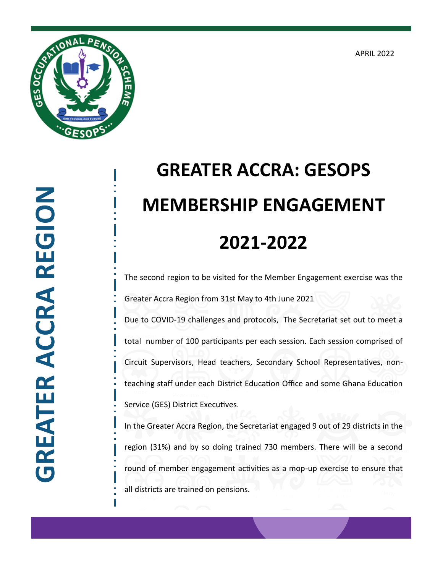APRIL 2022



## **GREATER ACCRA REGION GREATER ACCRA REGION**

## **GREATER ACCRA: GESOPS MEMBERSHIP ENGAGEMENT 2021-2022**

The second region to be visited for the Member Engagement exercise was the Greater Accra Region from 31st May to 4th June 2021 Due to COVID-19 challenges and protocols, The Secretariat set out to meet a total number of 100 participants per each session. Each session comprised of

Circuit Supervisors, Head teachers, Secondary School Representatives, non-

teaching staff under each District Education Office and some Ghana Education Service (GES) District Executives.

In the Greater Accra Region, the Secretariat engaged 9 out of 29 districts in the region (31%) and by so doing trained 730 members. There will be a second round of member engagement activities as a mop-up exercise to ensure that all districts are trained on pensions.